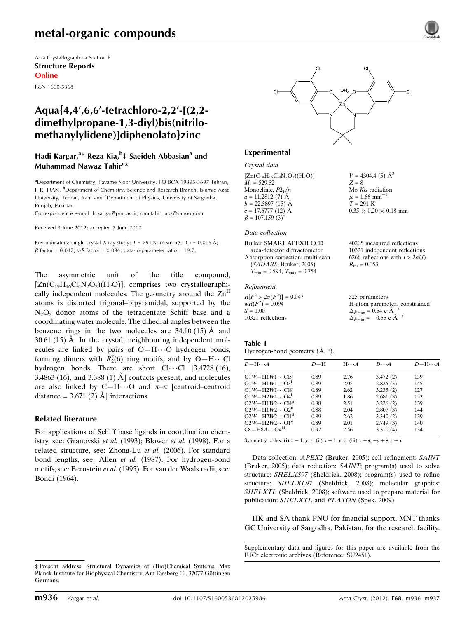# metal-organic compounds

Acta Crystallographica Section E Structure Reports Online

ISSN 1600-5368

# Aqua{4,4',6,6'-tetrachloro-2,2'-[(2,2dimethylpropane-1,3-diyl)bis(nitrilomethanylylidene)]diphenolato}zinc

# Hadi Kargar,<sup>a</sup>\* Reza Kia,<sup>b</sup>‡ Saeideh Abbasian<sup>a</sup> and Muhammad Nawaz Tahir<sup>c</sup>\*

<sup>a</sup> Department of Chemistry, Payame Noor University, PO BOX 19395-3697 Tehran, I. R. IRAN, <sup>b</sup>Department of Chemistry, Science and Research Branch, Islamic Azad University, Tehran, Iran, and <sup>c</sup>Department of Physics, University of Sargodha, Punjab, Pakistan

Correspondence e-mail: [h.kargar@pnu.ac.ir, dmntahir\\_uos@yahoo.com](http://scripts.iucr.org/cgi-bin/cr.cgi?rm=pdfbb&cnor=su2451&bbid=BB9)

Received 3 June 2012; accepted 7 June 2012

Key indicators: single-crystal X-ray study;  $T = 291$  K; mean  $\sigma$ (C–C) = 0.005 Å; R factor =  $0.047$ ; wR factor =  $0.094$ ; data-to-parameter ratio = 19.7.

The asymmetric unit of the title compound,  $[Zn(C_{19}H_{16}Cl_4N_2O_2)(H_2O)]$ , comprises two crystallographically independent molecules. The geometry around the  $Zn<sup>II</sup>$ atoms is distorted trigonal–bipyramidal, supported by the  $N_2O_2$  donor atoms of the tetradentate Schiff base and a coordinating water molecule. The dihedral angles between the benzene rings in the two molecules are  $34.10(15)$  Å and  $30.61$  (15) A. In the crystal, neighbouring independent molecules are linked by pairs of  $O-H\cdots O$  hydrogen bonds, forming dimers with  $R_2^2(6)$  ring motifs, and by O-H $\cdots$ Cl hydrogen bonds. There are short  $Cl \cdot \cdot \cdot Cl$  [3.4728 (16), 3.4863 (16), and 3.388 (1)  $\AA$  contacts present, and molecules are also linked by C-H $\cdots$ O and  $\pi-\pi$  [centroid-centroid distance =  $3.671(2)$  Å ] interactions.

### Related literature

For applications of Schiff base ligands in coordination chemistry, see: Granovski et al. (1993); Blower et al. (1998). For a related structure, see: Zhong-Lu et al. (2006). For standard bond lengths, see: Allen et al. (1987). For hydrogen-bond motifs, see: Bernstein et al. (1995). For van der Waals radii, see: Bondi (1964).



 $V = 4304.4$  (5)  $\AA^3$ 

Mo  $K\alpha$  radiation  $\mu$  = 1.66 mm<sup>-1</sup>  $T = 291$  K

 $R_{\text{int}} = 0.053$ 

 $0.35 \times 0.20 \times 0.18$  mm

40205 measured reflections 10321 independent reflections 6266 reflections with  $I > 2\sigma(I)$ 

 $Z - 8$ 

#### Experimental

### Crystal data

 $[Zn(C_{19}H_{16}Cl_4N_2O_2)(H_2O)]$  $M<sub>r</sub> = 529.52$ Monoclinic,  $P2_1/n$  $a = 11.2812(7)$  Å  $b = 22.5897(15)$  Å  $c = 17.6777(12)$  Å  $\beta = 107.159$  (3)<sup>o</sup>

#### Data collection

Bruker SMART APEXII CCD area-detector diffractometer Absorption correction: multi-scan (SADABS; Bruker, 2005)  $T_{\min} = 0.594, T_{\max} = 0.754$ 

#### Refinement

| $R[F^2 > 2\sigma(F^2)] = 0.047$ | 525 parameters                                    |
|---------------------------------|---------------------------------------------------|
| $wR(F^2) = 0.094$               | H-atom parameters constrained                     |
| $S = 1.00$                      | $\Delta\rho_{\text{max}} = 0.54 \text{ e A}^{-3}$ |
| 10321 reflections               | $\Delta \rho_{\text{min}} = -0.55$ e $\AA^{-3}$   |

#### Table 1

Hydrogen-bond geometry  $(A, \circ)$ .

| $D - H \cdots A$                      | $D - H$ | $H \cdot \cdot \cdot A$ | $D\cdots A$ | $D - H \cdots A$ |
|---------------------------------------|---------|-------------------------|-------------|------------------|
| $O1W - H1W1 \cdots C15^{i}$           | 0.89    | 2.76                    | 3.472(2)    | 139              |
| $O1W - H1W1 \cdots O3^i$              | 0.89    | 2.05                    | 2.825(3)    | 145              |
| $O1W - H2W1 \cdots C18^i$             | 0.89    | 2.62                    | 3.235(2)    | 127              |
| $O1W - H2W1 \cdots O4$ <sup>1</sup>   | 0.89    | 1.86                    | 2.681(3)    | 153              |
| $O2W - H1W2 \cdots C14^{n}$           | 0.88    | 2.51                    | 3.226(2)    | 139              |
| $O2W - H1W2 \cdots O2^{ii}$           | 0.88    | 2.04                    | 2.807(3)    | 144              |
| $O2W - H2W2 \cdots C11$ <sup>ii</sup> | 0.89    | 2.62                    | 3.340(2)    | 139              |
| $O2W - H2W2 \cdots O1$ <sup>ii</sup>  | 0.89    | 2.01                    | 2.749(3)    | 140              |
| $CS-HA \cdots O4iii$                  | 0.97    | 2.56                    | 3.310(4)    | 134              |

Symmetry codes: (i)  $x - 1$ ,  $y$ ,  $z$ ; (ii)  $x + 1$ ,  $y$ ,  $z$ ; (iii)  $x - \frac{1}{2}$ ,  $-y + \frac{3}{2}$ ,  $z + \frac{1}{2}$ .

Data collection: APEX2 (Bruker, 2005); cell refinement: SAINT (Bruker, 2005); data reduction: SAINT; program(s) used to solve structure: SHELXS97 (Sheldrick, 2008); program(s) used to refine structure: SHELXL97 (Sheldrick, 2008); molecular graphics: SHELXTL (Sheldrick, 2008); software used to prepare material for publication: SHELXTL and PLATON (Spek, 2009).

HK and SA thank PNU for financial support. MNT thanks GC University of Sargodha, Pakistan, for the research facility.

<sup>‡</sup> Present address: Structural Dynamics of (Bio)Chemical Systems, Max Planck Institute for Biophysical Chemistry, Am Fassberg 11, 37077 Göttingen Germany.

Supplementary data and figures for this paper are available from the IUCr electronic archives (Reference: SU2451).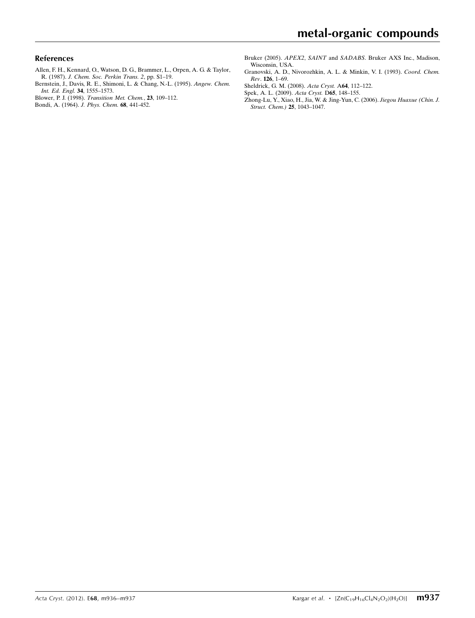# References

- [Allen, F. H., Kennard, O., Watson, D. G., Brammer, L., Orpen, A. G. & Taylor,](http://scripts.iucr.org/cgi-bin/cr.cgi?rm=pdfbb&cnor=su2451&bbid=BB1) R. (1987). [J. Chem. Soc. Perkin Trans. 2](http://scripts.iucr.org/cgi-bin/cr.cgi?rm=pdfbb&cnor=su2451&bbid=BB1), pp. S1–19.
- [Bernstein, J., Davis, R. E., Shimoni, L. & Chang, N.-L. \(1995\).](http://scripts.iucr.org/cgi-bin/cr.cgi?rm=pdfbb&cnor=su2451&bbid=BB2) Angew. Chem. [Int. Ed. Engl.](http://scripts.iucr.org/cgi-bin/cr.cgi?rm=pdfbb&cnor=su2451&bbid=BB2) 34, 1555–1573.
- Blower, P. J. (1998). [Transition Met. Chem.](http://scripts.iucr.org/cgi-bin/cr.cgi?rm=pdfbb&cnor=su2451&bbid=BB3), 23, 109–112.
- [Bondi, A. \(1964\).](http://scripts.iucr.org/cgi-bin/cr.cgi?rm=pdfbb&cnor=su2451&bbid=BB4) J. Phys. Chem. 68, 441-452.
- Bruker (2005). APEX2, SAINT and SADABS[. Bruker AXS Inc., Madison,](http://scripts.iucr.org/cgi-bin/cr.cgi?rm=pdfbb&cnor=su2451&bbid=BB5) [Wisconsin, USA.](http://scripts.iucr.org/cgi-bin/cr.cgi?rm=pdfbb&cnor=su2451&bbid=BB5)
- [Granovski, A. D., Nivorozhkin, A. L. & Minkin, V. I. \(1993\).](http://scripts.iucr.org/cgi-bin/cr.cgi?rm=pdfbb&cnor=su2451&bbid=BB6) Coord. Chem. Rev. 126[, 1–69.](http://scripts.iucr.org/cgi-bin/cr.cgi?rm=pdfbb&cnor=su2451&bbid=BB6)
- [Sheldrick, G. M. \(2008\).](http://scripts.iucr.org/cgi-bin/cr.cgi?rm=pdfbb&cnor=su2451&bbid=BB7) Acta Cryst. A64, 112–122.
- [Spek, A. L. \(2009\).](http://scripts.iucr.org/cgi-bin/cr.cgi?rm=pdfbb&cnor=su2451&bbid=BB8) Acta Cryst. D65, 148–155.
- [Zhong-Lu, Y., Xiao, H., Jia, W. & Jing-Yun, C. \(2006\).](http://scripts.iucr.org/cgi-bin/cr.cgi?rm=pdfbb&cnor=su2451&bbid=BB9) Jiegou Huaxue (Chin. J. [Struct. Chem.\)](http://scripts.iucr.org/cgi-bin/cr.cgi?rm=pdfbb&cnor=su2451&bbid=BB9) 25, 1043–1047.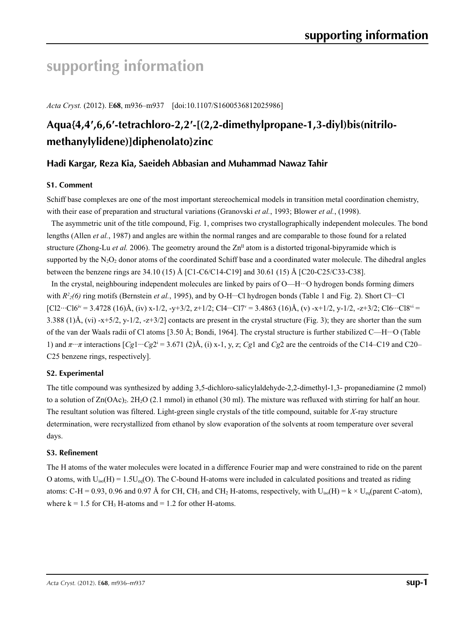# **supporting information**

*Acta Cryst.* (2012). E**68**, m936–m937 [doi:10.1107/S1600536812025986]

# **Aqua{4,4′,6,6′-tetrachloro-2,2′-[(2,2-dimethylpropane-1,3-diyl)bis(nitrilomethanylylidene)]diphenolato}zinc**

# **Hadi Kargar, Reza Kia, Saeideh Abbasian and Muhammad Nawaz Tahir**

# **S1. Comment**

Schiff base complexes are one of the most important stereochemical models in transition metal coordination chemistry, with their ease of preparation and structural variations (Granovski *et al.*, 1993; Blower *et al.*, (1998).

The asymmetric unit of the title compound, Fig. 1, comprises two crystallographically independent molecules. The bond lengths (Allen *et al.*, 1987) and angles are within the normal ranges and are comparable to those found for a related structure (Zhong-Lu *et al.* 2006). The geometry around the  $Zn<sup>II</sup>$  atom is a distorted trigonal-bipyramide which is supported by the  $N_2O_2$  donor atoms of the coordinated Schiff base and a coordinated water molecule. The dihedral angles between the benzene rings are 34.10 (15) Å [C1-C6/C14-C19] and 30.61 (15) Å [C20-C25/C33-C38].

In the crystal, neighbouring independent molecules are linked by pairs of O—H···O hydrogen bonds forming dimers with  $R^2_2(6)$  ring motifs (Bernstein *et al.*, 1995), and by O-H···Cl hydrogen bonds (Table 1 and Fig. 2). Short Cl···Cl  $[C12\cdots C16^{iv} = 3.4728 \ (16) \AA, (iv) \ x-1/2, -y+3/2, z+1/2; C14\cdots C17^{v} = 3.4863 \ (16) \AA, (v) -x+1/2, y-1/2, -z+3/2; C16\cdots C18^{vi} =$ 3.388 (1)Å, (vi) -x+5/2, y-1/2, -z+3/2] contacts are present in the crystal structure (Fig. 3); they are shorter than the sum of the van der Waals radii of Cl atoms [3.50 Å; Bondi, 1964]. The crystal structure is further stabilized C—H···O (Table 1) and *π*···*π* interactions [*Cg*1···*Cg*2i = 3.671 (2)Å, (i) x-1, y, z; *Cg*1 and *Cg*2 are the centroids of the C14–C19 and C20– C25 benzene rings, respectively].

# **S2. Experimental**

The title compound was synthesized by adding 3,5-dichloro-salicylaldehyde-2,2-dimethyl-1,3- propanediamine (2 mmol) to a solution of  $Zn(OAc)$ . 2H<sub>2</sub>O (2.1 mmol) in ethanol (30 ml). The mixture was refluxed with stirring for half an hour. The resultant solution was filtered. Light-green single crystals of the title compound, suitable for *X*-ray structure determination, were recrystallized from ethanol by slow evaporation of the solvents at room temperature over several days.

# **S3. Refinement**

The H atoms of the water molecules were located in a difference Fourier map and were constrained to ride on the parent O atoms, with  $U_{iso}(H) = 1.5U_{eq}(O)$ . The C-bound H-atoms were included in calculated positions and treated as riding atoms: C-H = 0.93, 0.96 and 0.97 Å for CH, CH<sub>3</sub> and CH<sub>2</sub> H-atoms, respectively, with  $U_{iso}(H) = k \times U_{eq}(parent C-atom)$ , where  $k = 1.5$  for CH<sub>3</sub> H-atoms and  $= 1.2$  for other H-atoms.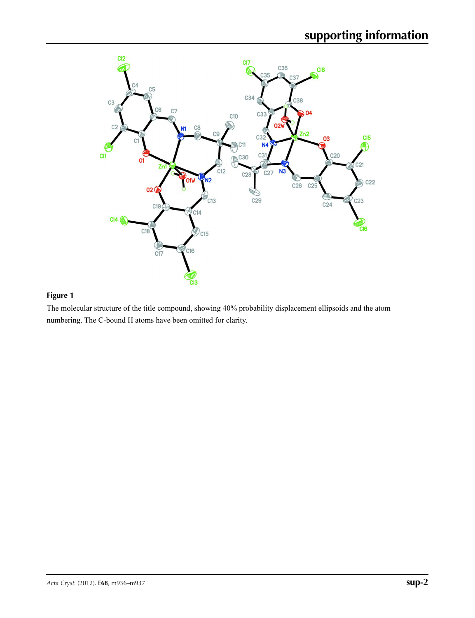

# **Figure 1**

The molecular structure of the title compound, showing 40% probability displacement ellipsoids and the atom numbering. The C-bound H atoms have been omitted for clarity.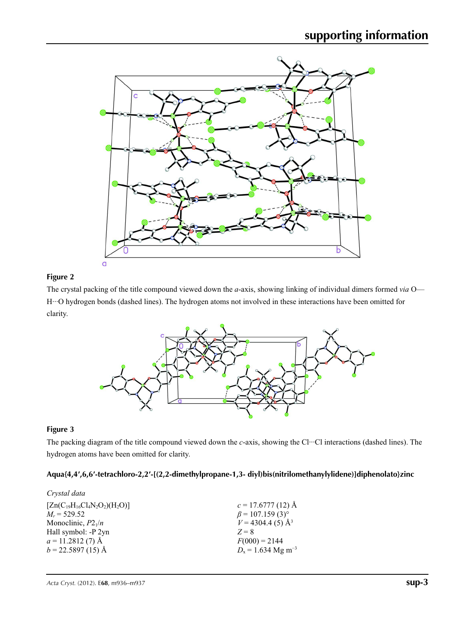

# **Figure 2**

The crystal packing of the title compound viewed down the *a*-axis, showing linking of individual dimers formed *via* O— H···O hydrogen bonds (dashed lines). The hydrogen atoms not involved in these interactions have been omitted for clarity.



# **Figure 3**

The packing diagram of the title compound viewed down the *c*-axis, showing the Cl···Cl interactions (dashed lines). The hydrogen atoms have been omitted for clarity.

# **Aqua{4,4′,6,6′-tetrachloro-2,2′-[(2,2-dimethylpropane-1,3- diyl)bis(nitrilomethanylylidene)]diphenolato}zinc**

| Crystal data                         |                                    |
|--------------------------------------|------------------------------------|
| $[Zn(C_{19}H_{16}Cl_4N_2O_2)(H_2O)]$ | $c = 17.6777(12)$ Å                |
| $M_r = 529.52$                       | $\beta$ = 107.159 (3) <sup>o</sup> |
| Monoclinic, $P2_1/n$                 | $V = 4304.4$ (5) Å <sup>3</sup>    |
| Hall symbol: -P 2yn                  | $Z = 8$                            |
| $a = 11.2812(7)$ Å                   | $F(000) = 2144$                    |
| $b = 22.5897(15)$ Å                  | $D_x = 1.634$ Mg m <sup>-3</sup>   |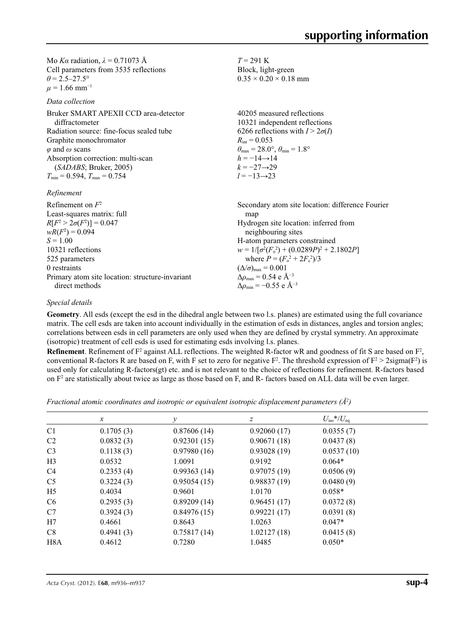Mo *Kα* radiation,  $\lambda = 0.71073$  Å Cell parameters from 3535 reflections  $\theta = 2.5 - 27.5^{\circ}$  $\mu$  = 1.66 mm<sup>-1</sup>

*Data collection*

Bruker SMART APEXII CCD area-detector diffractometer Radiation source: fine-focus sealed tube Graphite monochromator *φ* and *ω* scans Absorption correction: multi-scan (*SADABS*; Bruker, 2005)  $T_{\text{min}} = 0.594, T_{\text{max}} = 0.754$ 

*Refinement*

| Refinement on $F^2$<br>Least-squares matrix: full | Secondary atom site location: difference Fourier<br>map |
|---------------------------------------------------|---------------------------------------------------------|
| $R[F^2 > 2\sigma(F^2)] = 0.047$                   | Hydrogen site location: inferred from                   |
| $wR(F^2) = 0.094$                                 | neighbouring sites                                      |
| $S = 1.00$                                        | H-atom parameters constrained                           |
| 10321 reflections                                 | $w = 1/[\sigma^2(F_0^2) + (0.0289P)^2 + 2.1802P]$       |
| 525 parameters                                    | where $P = (F_0^2 + 2F_c^2)/3$                          |
| 0 restraints                                      | $(\Delta/\sigma)_{\text{max}} = 0.001$                  |
| Primary atom site location: structure-invariant   | $\Delta \rho_{\text{max}} = 0.54 \text{ e A}^{-3}$      |
| direct methods                                    | $\Delta\rho_{\rm min} = -0.55$ e $\rm \AA^{-3}$         |

*T* = 291 K Block, light-green  $0.35 \times 0.20 \times 0.18$  mm

 $R_{\text{int}} = 0.053$ 

 $h = -14 \rightarrow 14$  $k = -27 \rightarrow 29$ *l* = −13→23

40205 measured reflections 10321 independent reflections 6266 reflections with  $I > 2\sigma(I)$ 

 $\theta_{\text{max}} = 28.0^{\circ}, \theta_{\text{min}} = 1.8^{\circ}$ 

## *Special details*

**Geometry**. All esds (except the esd in the dihedral angle between two l.s. planes) are estimated using the full covariance matrix. The cell esds are taken into account individually in the estimation of esds in distances, angles and torsion angles; correlations between esds in cell parameters are only used when they are defined by crystal symmetry. An approximate (isotropic) treatment of cell esds is used for estimating esds involving l.s. planes.

**Refinement**. Refinement of  $F^2$  against ALL reflections. The weighted R-factor wR and goodness of fit S are based on  $F^2$ , conventional R-factors R are based on F, with F set to zero for negative  $F^2$ . The threshold expression of  $F^2 > 2 \text{sigma}(F^2)$  is used only for calculating R-factors(gt) etc. and is not relevant to the choice of reflections for refinement. R-factors based on  $F<sup>2</sup>$  are statistically about twice as large as those based on F, and R- factors based on ALL data will be even larger.

*Fractional atomic coordinates and isotropic or equivalent isotropic displacement parameters (Å<sup>2</sup>)* 

|                  | $\mathcal{X}$ |             | z           | $U_{\rm iso}*/U_{\rm eq}$ |  |
|------------------|---------------|-------------|-------------|---------------------------|--|
| C <sub>1</sub>   | 0.1705(3)     | 0.87606(14) | 0.92060(17) | 0.0355(7)                 |  |
| C <sub>2</sub>   | 0.0832(3)     | 0.92301(15) | 0.90671(18) | 0.0437(8)                 |  |
| C <sub>3</sub>   | 0.1138(3)     | 0.97980(16) | 0.93028(19) | 0.0537(10)                |  |
| H <sub>3</sub>   | 0.0532        | 1.0091      | 0.9192      | $0.064*$                  |  |
| C <sub>4</sub>   | 0.2353(4)     | 0.99363(14) | 0.97075(19) | 0.0506(9)                 |  |
| C <sub>5</sub>   | 0.3224(3)     | 0.95054(15) | 0.98837(19) | 0.0480(9)                 |  |
| H <sub>5</sub>   | 0.4034        | 0.9601      | 1.0170      | $0.058*$                  |  |
| C <sub>6</sub>   | 0.2935(3)     | 0.89209(14) | 0.96451(17) | 0.0372(8)                 |  |
| C7               | 0.3924(3)     | 0.84976(15) | 0.99221(17) | 0.0391(8)                 |  |
| H7               | 0.4661        | 0.8643      | 1.0263      | $0.047*$                  |  |
| C8               | 0.4941(3)     | 0.75817(14) | 1.02127(18) | 0.0415(8)                 |  |
| H <sub>8</sub> A | 0.4612        | 0.7280      | 1.0485      | $0.050*$                  |  |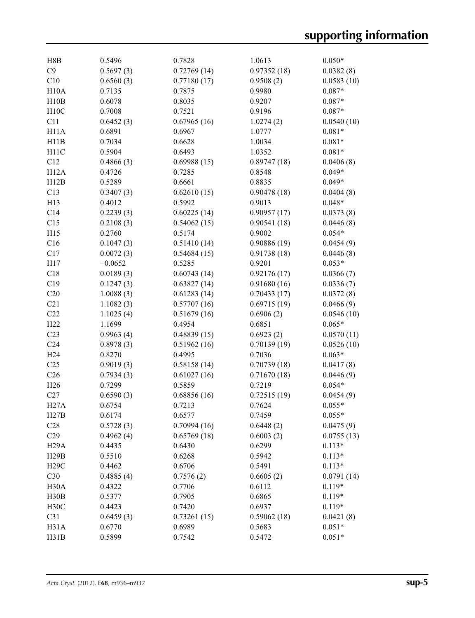| H8B               | 0.5496    | 0.7828      | 1.0613      | $0.050*$   |
|-------------------|-----------|-------------|-------------|------------|
| C9                | 0.5697(3) | 0.72769(14) | 0.97352(18) | 0.0382(8)  |
| C10               | 0.6560(3) | 0.77180(17) | 0.9508(2)   | 0.0583(10) |
| H10A              | 0.7135    | 0.7875      | 0.9980      | $0.087*$   |
| H10B              | 0.6078    | 0.8035      | 0.9207      | $0.087*$   |
| H10C              | 0.7008    | 0.7521      | 0.9196      | $0.087*$   |
| C11               | 0.6452(3) | 0.67965(16) | 1.0274(2)   | 0.0540(10) |
| H11A              | 0.6891    | 0.6967      | 1.0777      | $0.081*$   |
| H11B              | 0.7034    | 0.6628      | 1.0034      | $0.081*$   |
| H11C              | 0.5904    | 0.6493      | 1.0352      | $0.081*$   |
| C12               | 0.4866(3) | 0.69988(15) | 0.89747(18) | 0.0406(8)  |
| H12A              | 0.4726    | 0.7285      | 0.8548      | $0.049*$   |
| H12B              | 0.5289    | 0.6661      | 0.8835      | $0.049*$   |
| C13               | 0.3407(3) | 0.62610(15) | 0.90478(18) | 0.0404(8)  |
| H13               | 0.4012    | 0.5992      | 0.9013      | $0.048*$   |
| C14               | 0.2239(3) | 0.60225(14) | 0.90957(17) | 0.0373(8)  |
| C15               | 0.2108(3) | 0.54062(15) | 0.90541(18) | 0.0446(8)  |
| H15               | 0.2760    | 0.5174      | 0.9002      | $0.054*$   |
|                   |           |             |             |            |
| C16               | 0.1047(3) | 0.51410(14) | 0.90886(19) | 0.0454(9)  |
| C17               | 0.0072(3) | 0.54684(15) | 0.91738(18) | 0.0446(8)  |
| H17               | $-0.0652$ | 0.5285      | 0.9201      | $0.053*$   |
| C18               | 0.0189(3) | 0.60743(14) | 0.92176(17) | 0.0366(7)  |
| C19               | 0.1247(3) | 0.63827(14) | 0.91680(16) | 0.0336(7)  |
| C20               | 1.0088(3) | 0.61283(14) | 0.70433(17) | 0.0372(8)  |
| C21               | 1.1082(3) | 0.57707(16) | 0.69715(19) | 0.0466(9)  |
| C22               | 1.1025(4) | 0.51679(16) | 0.6906(2)   | 0.0546(10) |
| H22               | 1.1699    | 0.4954      | 0.6851      | $0.065*$   |
| C <sub>23</sub>   | 0.9963(4) | 0.48839(15) | 0.6923(2)   | 0.0570(11) |
| C <sub>24</sub>   | 0.8978(3) | 0.51962(16) | 0.70139(19) | 0.0526(10) |
| H <sub>24</sub>   | 0.8270    | 0.4995      | 0.7036      | $0.063*$   |
| C <sub>25</sub>   | 0.9019(3) | 0.58158(14) | 0.70739(18) | 0.0417(8)  |
| C <sub>26</sub>   | 0.7934(3) | 0.61027(16) | 0.71670(18) | 0.0446(9)  |
| H <sub>26</sub>   | 0.7299    | 0.5859      | 0.7219      | $0.054*$   |
| C27               | 0.6590(3) | 0.68856(16) | 0.72515(19) | 0.0454(9)  |
| <b>H27A</b>       | 0.6754    | 0.7213      | 0.7624      | $0.055*$   |
| H27B              | 0.6174    | 0.6577      | 0.7459      | $0.055*$   |
| C28               | 0.5728(3) | 0.70994(16) | 0.6448(2)   | 0.0475(9)  |
| C29               | 0.4962(4) | 0.65769(18) | 0.6003(2)   | 0.0755(13) |
| H <sub>29</sub> A | 0.4435    | 0.6430      | 0.6299      | $0.113*$   |
| H29B              | 0.5510    | 0.6268      | 0.5942      | $0.113*$   |
| <b>H29C</b>       | 0.4462    | 0.6706      | 0.5491      | $0.113*$   |
| C30               | 0.4885(4) | 0.7576(2)   | 0.6605(2)   | 0.0791(14) |
| H <sub>30</sub> A | 0.4322    | 0.7706      | 0.6112      | $0.119*$   |
| H30B              | 0.5377    | 0.7905      | 0.6865      | $0.119*$   |
| H <sub>30</sub> C | 0.4423    | 0.7420      | 0.6937      | $0.119*$   |
| C31               | 0.6459(3) | 0.73261(15) | 0.59062(18) | 0.0421(8)  |
| H31A              | 0.6770    | 0.6989      | 0.5683      | $0.051*$   |
| H31B              | 0.5899    | 0.7542      | 0.5472      | $0.051*$   |
|                   |           |             |             |            |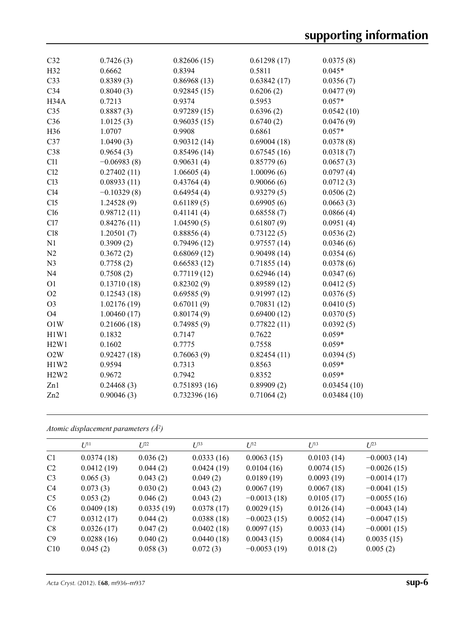| C <sub>32</sub> | 0.7426(3)     | 0.82606(15)  | 0.61298(17) | 0.0375(8)   |
|-----------------|---------------|--------------|-------------|-------------|
| H32             | 0.6662        | 0.8394       | 0.5811      | $0.045*$    |
| C <sub>33</sub> | 0.8389(3)     | 0.86968(13)  | 0.63842(17) | 0.0356(7)   |
| C34             | 0.8040(3)     | 0.92845(15)  | 0.6206(2)   | 0.0477(9)   |
| H34A            | 0.7213        | 0.9374       | 0.5953      | $0.057*$    |
| C <sub>35</sub> | 0.8887(3)     | 0.97289(15)  | 0.6396(2)   | 0.0542(10)  |
| C36             | 1.0125(3)     | 0.96035(15)  | 0.6740(2)   | 0.0476(9)   |
| H36             | 1.0707        | 0.9908       | 0.6861      | $0.057*$    |
| C37             | 1.0490(3)     | 0.90312(14)  | 0.69004(18) | 0.0378(8)   |
| C38             | 0.9654(3)     | 0.85496(14)  | 0.67545(16) | 0.0318(7)   |
| C11             | $-0.06983(8)$ | 0.90631(4)   | 0.85779(6)  | 0.0657(3)   |
| Cl2             | 0.27402(11)   | 1.06605(4)   | 1.00096(6)  | 0.0797(4)   |
| Cl <sub>3</sub> | 0.08933(11)   | 0.43764(4)   | 0.90066(6)  | 0.0712(3)   |
| Cl4             | $-0.10329(8)$ | 0.64954(4)   | 0.93279(5)  | 0.0506(2)   |
| C15             | 1.24528(9)    | 0.61189(5)   | 0.69905(6)  | 0.0663(3)   |
| Cl6             | 0.98712(11)   | 0.41141(4)   | 0.68558(7)  | 0.0866(4)   |
| Cl7             | 0.84276(11)   | 1.04590(5)   | 0.61807(9)  | 0.0951(4)   |
| C18             | 1.20501(7)    | 0.88856(4)   | 0.73122(5)  | 0.0536(2)   |
| N1              | 0.3909(2)     | 0.79496(12)  | 0.97557(14) | 0.0346(6)   |
| N2              | 0.3672(2)     | 0.68069(12)  | 0.90498(14) | 0.0354(6)   |
| N <sub>3</sub>  | 0.7758(2)     | 0.66583(12)  | 0.71855(14) | 0.0378(6)   |
| N <sub>4</sub>  | 0.7508(2)     | 0.77119(12)  | 0.62946(14) | 0.0347(6)   |
| O <sub>1</sub>  | 0.13710(18)   | 0.82302(9)   | 0.89589(12) | 0.0412(5)   |
| O2              | 0.12543(18)   | 0.69585(9)   | 0.91997(12) | 0.0376(5)   |
| O <sub>3</sub>  | 1.02176(19)   | 0.67011(9)   | 0.70831(12) | 0.0410(5)   |
| <b>O4</b>       | 1.00460(17)   | 0.80174(9)   | 0.69400(12) | 0.0370(5)   |
| O1W             | 0.21606(18)   | 0.74985(9)   | 0.77822(11) | 0.0392(5)   |
| H1W1            | 0.1832        | 0.7147       | 0.7622      | $0.059*$    |
| H2W1            | 0.1602        | 0.7775       | 0.7558      | $0.059*$    |
| O2W             | 0.92427(18)   | 0.76063(9)   | 0.82454(11) | 0.0394(5)   |
| H1W2            | 0.9594        | 0.7313       | 0.8563      | $0.059*$    |
| H2W2            | 0.9672        | 0.7942       | 0.8352      | $0.059*$    |
| Zn1             | 0.24468(3)    | 0.751893(16) | 0.89909(2)  | 0.03454(10) |
| Zn2             | 0.90046(3)    | 0.732396(16) | 0.71064(2)  | 0.03484(10) |
|                 |               |              |             |             |

*Atomic displacement parameters (Å2 )*

|                | $U^{11}$   | $L^{22}$   | $U^{33}$   | $U^{12}$      | $U^{13}$   | $L^{23}$      |
|----------------|------------|------------|------------|---------------|------------|---------------|
| C <sub>1</sub> | 0.0374(18) | 0.036(2)   | 0.0333(16) | 0.0063(15)    | 0.0103(14) | $-0.0003(14)$ |
| C <sub>2</sub> | 0.0412(19) | 0.044(2)   | 0.0424(19) | 0.0104(16)    | 0.0074(15) | $-0.0026(15)$ |
| C <sub>3</sub> | 0.065(3)   | 0.043(2)   | 0.049(2)   | 0.0189(19)    | 0.0093(19) | $-0.0014(17)$ |
| C <sub>4</sub> | 0.073(3)   | 0.030(2)   | 0.043(2)   | 0.0067(19)    | 0.0067(18) | $-0.0041(15)$ |
| C <sub>5</sub> | 0.053(2)   | 0.046(2)   | 0.043(2)   | $-0.0013(18)$ | 0.0105(17) | $-0.0055(16)$ |
| C <sub>6</sub> | 0.0409(18) | 0.0335(19) | 0.0378(17) | 0.0029(15)    | 0.0126(14) | $-0.0043(14)$ |
| C7             | 0.0312(17) | 0.044(2)   | 0.0388(18) | $-0.0023(15)$ | 0.0052(14) | $-0.0047(15)$ |
| C8             | 0.0326(17) | 0.047(2)   | 0.0402(18) | 0.0097(15)    | 0.0033(14) | $-0.0001(15)$ |
| C9             | 0.0288(16) | 0.040(2)   | 0.0440(18) | 0.0043(15)    | 0.0084(14) | 0.0035(15)    |
| C10            | 0.045(2)   | 0.058(3)   | 0.072(3)   | $-0.0053(19)$ | 0.018(2)   | 0.005(2)      |
|                |            |            |            |               |            |               |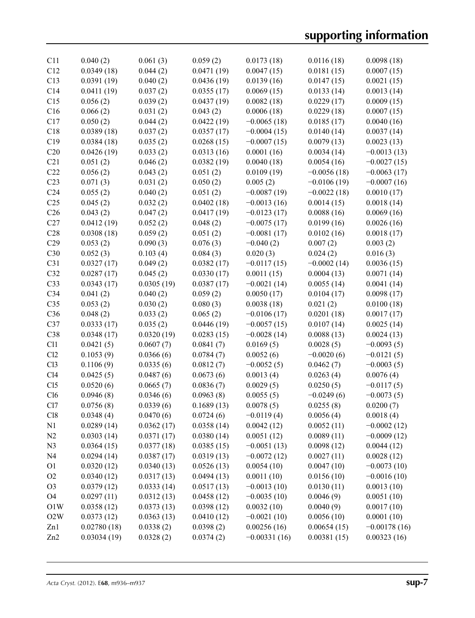| C11             | 0.040(2)    | 0.061(3)   | 0.059(2)   | 0.0173(18)     | 0.0116(18)    | 0.0098(18)     |
|-----------------|-------------|------------|------------|----------------|---------------|----------------|
| C12             | 0.0349(18)  | 0.044(2)   | 0.0471(19) | 0.0047(15)     | 0.0181(15)    | 0.0007(15)     |
| C13             | 0.0391(19)  | 0.040(2)   | 0.0436(19) | 0.0139(16)     | 0.0147(15)    | 0.0021(15)     |
| C14             | 0.0411(19)  | 0.037(2)   | 0.0355(17) | 0.0069(15)     | 0.0133(14)    | 0.0013(14)     |
| C15             | 0.056(2)    | 0.039(2)   | 0.0437(19) | 0.0082(18)     | 0.0229(17)    | 0.0009(15)     |
| C16             | 0.066(2)    | 0.031(2)   | 0.043(2)   | 0.0006(18)     | 0.0229(18)    | 0.0007(15)     |
| C17             | 0.050(2)    | 0.044(2)   | 0.0422(19) | $-0.0065(18)$  | 0.0185(17)    | 0.0040(16)     |
| C18             | 0.0389(18)  | 0.037(2)   | 0.0357(17) | $-0.0004(15)$  | 0.0140(14)    | 0.0037(14)     |
| C19             | 0.0384(18)  | 0.035(2)   | 0.0268(15) | $-0.0007(15)$  | 0.0079(13)    | 0.0023(13)     |
| C20             | 0.0426(19)  | 0.033(2)   | 0.0313(16) | 0.0001(16)     | 0.0034(14)    | $-0.0013(13)$  |
| C21             | 0.051(2)    | 0.046(2)   | 0.0382(19) | 0.0040(18)     | 0.0054(16)    | $-0.0027(15)$  |
| C22             | 0.056(2)    | 0.043(2)   | 0.051(2)   | 0.0109(19)     | $-0.0056(18)$ | $-0.0063(17)$  |
| C23             | 0.071(3)    | 0.031(2)   | 0.050(2)   | 0.005(2)       | $-0.0106(19)$ | $-0.0007(16)$  |
| C <sub>24</sub> | 0.055(2)    | 0.040(2)   | 0.051(2)   | $-0.0087(19)$  | $-0.0022(18)$ | 0.0010(17)     |
| C <sub>25</sub> | 0.045(2)    | 0.032(2)   | 0.0402(18) | $-0.0013(16)$  | 0.0014(15)    | 0.0018(14)     |
| C <sub>26</sub> | 0.043(2)    | 0.047(2)   | 0.0417(19) | $-0.0123(17)$  | 0.0088(16)    | 0.0069(16)     |
| C27             | 0.0412(19)  | 0.052(2)   | 0.048(2)   | $-0.0075(17)$  | 0.0199(16)    | 0.0026(16)     |
| C28             | 0.0308(18)  | 0.059(2)   | 0.051(2)   | $-0.0081(17)$  | 0.0102(16)    | 0.0018(17)     |
| C29             | 0.053(2)    | 0.090(3)   | 0.076(3)   | $-0.040(2)$    | 0.007(2)      | 0.003(2)       |
| C30             | 0.052(3)    | 0.103(4)   | 0.084(3)   | 0.020(3)       | 0.024(2)      | 0.016(3)       |
| C31             | 0.0327(17)  | 0.049(2)   | 0.0382(17) | $-0.0117(15)$  | $-0.0002(14)$ | 0.0036(15)     |
| C32             | 0.0287(17)  | 0.045(2)   | 0.0330(17) | 0.0011(15)     | 0.0004(13)    | 0.0071(14)     |
| C33             | 0.0343(17)  | 0.0305(19) | 0.0387(17) | $-0.0021(14)$  | 0.0055(14)    | 0.0041(14)     |
| C <sub>34</sub> | 0.041(2)    | 0.040(2)   | 0.059(2)   | 0.0050(17)     | 0.0104(17)    | 0.0098(17)     |
| C <sub>35</sub> | 0.053(2)    | 0.030(2)   | 0.080(3)   | 0.0038(18)     | 0.021(2)      | 0.0100(18)     |
| C36             | 0.048(2)    | 0.033(2)   | 0.065(2)   | $-0.0106(17)$  | 0.0201(18)    | 0.0017(17)     |
| C37             | 0.0333(17)  | 0.035(2)   | 0.0446(19) | $-0.0057(15)$  | 0.0107(14)    | 0.0025(14)     |
| C38             | 0.0348(17)  | 0.0320(19) | 0.0283(15) | $-0.0028(14)$  | 0.0088(13)    | 0.0024(13)     |
| C11             | 0.0421(5)   | 0.0607(7)  | 0.0841(7)  | 0.0169(5)      | 0.0028(5)     | $-0.0093(5)$   |
| Cl2             | 0.1053(9)   | 0.0366(6)  | 0.0784(7)  | 0.0052(6)      | $-0.0020(6)$  | $-0.0121(5)$   |
| C13             | 0.1106(9)   | 0.0335(6)  | 0.0812(7)  | $-0.0052(5)$   | 0.0462(7)     | $-0.0003(5)$   |
| C14             | 0.0425(5)   | 0.0487(6)  | 0.0673(6)  | 0.0013(4)      | 0.0263(4)     | 0.0076(4)      |
| C15             | 0.0520(6)   | 0.0665(7)  | 0.0836(7)  | 0.0029(5)      | 0.0250(5)     | $-0.0117(5)$   |
| Cl6             | 0.0946(8)   | 0.0346(6)  | 0.0963(8)  | 0.0055(5)      | $-0.0249(6)$  | $-0.0073(5)$   |
| Cl7             | 0.0756(8)   | 0.0339(6)  | 0.1689(13) | 0.0078(5)      | 0.0255(8)     | 0.0200(7)      |
| C18             | 0.0348(4)   | 0.0470(6)  | 0.0724(6)  | $-0.0119(4)$   | 0.0056(4)     | 0.0018(4)      |
| N1              | 0.0289(14)  | 0.0362(17) | 0.0358(14) | 0.0042(12)     | 0.0052(11)    | $-0.0002(12)$  |
| N2              | 0.0303(14)  | 0.0371(17) | 0.0380(14) | 0.0051(12)     | 0.0089(11)    | $-0.0009(12)$  |
| N <sub>3</sub>  | 0.0364(15)  | 0.0377(18) | 0.0385(15) | $-0.0051(13)$  | 0.0098(12)    | 0.0044(12)     |
| N <sub>4</sub>  | 0.0294(14)  | 0.0387(17) | 0.0319(13) | $-0.0072(12)$  | 0.0027(11)    | 0.0028(12)     |
| O <sub>1</sub>  | 0.0320(12)  | 0.0340(13) | 0.0526(13) | 0.0054(10)     | 0.0047(10)    | $-0.0073(10)$  |
| O2              | 0.0340(12)  | 0.0317(13) | 0.0494(13) | 0.0011(10)     | 0.0156(10)    | $-0.0016(10)$  |
| O <sub>3</sub>  | 0.0379(12)  | 0.0333(14) | 0.0517(13) | $-0.0013(10)$  | 0.0130(11)    | 0.0013(10)     |
| O <sub>4</sub>  | 0.0297(11)  | 0.0312(13) | 0.0458(12) | $-0.0035(10)$  | 0.0046(9)     | 0.0051(10)     |
| O1W             | 0.0358(12)  | 0.0373(13) | 0.0398(12) | 0.0032(10)     | 0.0040(9)     | 0.0017(10)     |
| O2W             | 0.0373(12)  | 0.0363(13) | 0.0410(12) | $-0.0021(10)$  | 0.0056(10)    | 0.0001(10)     |
| Zn1             | 0.02780(18) | 0.0338(2)  | 0.0398(2)  | 0.00256(16)    | 0.00654(15)   | $-0.00178(16)$ |
| Zn2             | 0.03034(19) | 0.0328(2)  | 0.0374(2)  | $-0.00331(16)$ | 0.00381(15)   | 0.00323(16)    |
|                 |             |            |            |                |               |                |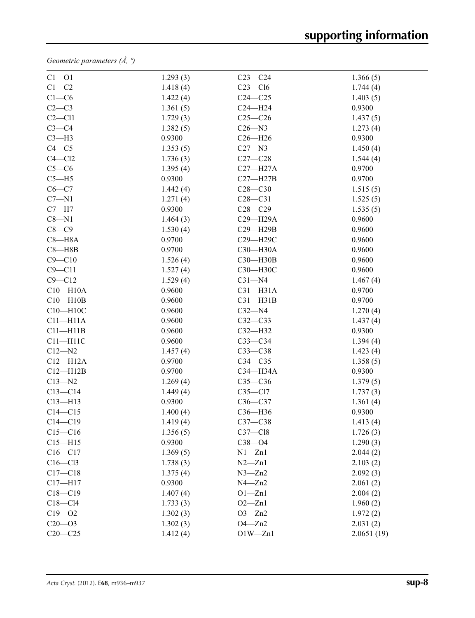*Geometric parameters (Å, º)*

| $Cl - O1$    | 1.293(3) | $C23-C24$    | 1.366(5)   |
|--------------|----------|--------------|------------|
| $C1-C2$      | 1.418(4) | $C23 - C16$  | 1.744(4)   |
| $C1-C6$      | 1.422(4) | $C24 - C25$  | 1.403(5)   |
| $C2-C3$      | 1.361(5) | $C24 - H24$  | 0.9300     |
| $C2 - C11$   | 1.729(3) | $C25-C26$    | 1.437(5)   |
| $C3-C4$      | 1.382(5) | $C26 - N3$   | 1.273(4)   |
| $C3-H3$      | 0.9300   | $C26 - H26$  | 0.9300     |
| $C4 - C5$    | 1.353(5) | $C27 - N3$   | 1.450(4)   |
| $C4 - C12$   | 1.736(3) | $C27-C28$    | 1.544(4)   |
| $C5-C6$      | 1.395(4) | $C27 - H27A$ | 0.9700     |
| $C5 - H5$    | 0.9300   | $C27 - H27B$ | 0.9700     |
| $C6 - C7$    | 1.442(4) | $C28 - C30$  | 1.515(5)   |
| $C7 - N1$    | 1.271(4) | $C28-C31$    | 1.525(5)   |
| $C7 - H7$    | 0.9300   | $C28 - C29$  | 1.535(5)   |
| $C8 - N1$    | 1.464(3) | $C29 - H29A$ | 0.9600     |
| $C8-C9$      | 1.530(4) | C29-H29B     | 0.9600     |
| $C8 - H8A$   | 0.9700   | C29-H29C     | 0.9600     |
| $C8 - H8B$   | 0.9700   | C30-H30A     | 0.9600     |
| $C9 - C10$   | 1.526(4) | C30-H30B     | 0.9600     |
| $C9 - C11$   | 1.527(4) | C30-H30C     | 0.9600     |
| $C9 - C12$   | 1.529(4) | $C31 - N4$   | 1.467(4)   |
| $C10 - H10A$ | 0.9600   | $C31 - H31A$ | 0.9700     |
| $C10 - H10B$ | 0.9600   | $C31 - H31B$ | 0.9700     |
| $C10 - H10C$ | 0.9600   | $C32 - N4$   | 1.270(4)   |
| $C11 - H11A$ | 0.9600   | $C32-C33$    | 1.437(4)   |
| $C11 - H11B$ | 0.9600   | $C32 - H32$  | 0.9300     |
| $C11 - H11C$ | 0.9600   | $C33-C34$    | 1.394(4)   |
| $C12 - N2$   | 1.457(4) | $C33-C38$    | 1.423(4)   |
| $C12 - H12A$ | 0.9700   | $C34 - C35$  | 1.358(5)   |
| $C12 - H12B$ | 0.9700   | C34-H34A     | 0.9300     |
| $C13 - N2$   | 1.269(4) | $C35-C36$    | 1.379(5)   |
| $C13-C14$    | 1.449(4) | $C35 - C17$  | 1.737(3)   |
| $C13 - H13$  | 0.9300   | $C36-C37$    | 1.361(4)   |
| $C14 - C15$  | 1.400(4) | C36-H36      | 0.9300     |
| $C14 - C19$  | 1.419(4) | $C37-C38$    | 1.413(4)   |
| $C15 - C16$  | 1.356(5) | $C37 - C18$  | 1.726(3)   |
| $C15 - H15$  | 0.9300   | $C38 - 04$   | 1.290(3)   |
| $C16 - C17$  | 1.369(5) | $N1 - Zn1$   | 2.044(2)   |
| $C16-C13$    | 1.738(3) | $N2 - Zn1$   | 2.103(2)   |
| $C17 - C18$  | 1.375(4) | $N3 - Zn2$   | 2.092(3)   |
| $C17 - H17$  | 0.9300   | $N4 - Zn2$   | 2.061(2)   |
| $C18 - C19$  | 1.407(4) | $O1 - Zn1$   | 2.004(2)   |
| $C18-C14$    | 1.733(3) | $O2 - Zn1$   | 1.960(2)   |
| $C19 - 02$   | 1.302(3) | $O3 - Zn2$   | 1.972(2)   |
| $C20 - 03$   | 1.302(3) | $O4 - Zn2$   | 2.031(2)   |
| $C20 - C25$  | 1.412(4) | $O1W - Zn1$  | 2.0651(19) |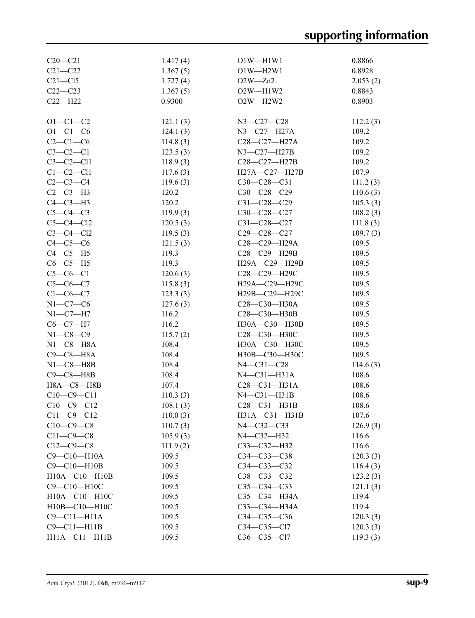| $C20 - C21$         | 1.417(4) | $O1W - H1W1$       | 0.8866   |
|---------------------|----------|--------------------|----------|
| $C21 - C22$         | 1.367(5) | $O1W - H2W1$       | 0.8928   |
| $C21 - C15$         | 1.727(4) | $O2W - Zn2$        | 2.053(2) |
| $C22-C23$           | 1.367(5) | $O2W - H1W2$       | 0.8843   |
| $C22-H22$           | 0.9300   | $O2W - H2W2$       | 0.8903   |
|                     |          |                    |          |
| $O1 - C1 - C2$      | 121.1(3) | N3-C27-C28         | 112.2(3) |
| $O1 - C1 - C6$      | 124.1(3) | $N3 - C27 - H27A$  | 109.2    |
| $C2-C1-C6$          | 114.8(3) | $C28 - C27 - H27A$ | 109.2    |
| $C3-C2-C1$          | 123.5(3) | N3-C27-H27B        | 109.2    |
| $C3-C2-C11$         | 118.9(3) | C28-C27-H27B       | 109.2    |
| $C1-C2-C11$         | 117.6(3) | H27A-C27-H27B      | 107.9    |
| $C2-C3-C4$          | 119.6(3) | $C30-C28-C31$      | 111.2(3) |
| $C2-C3-H3$          | 120.2    | $C30-C28-C29$      | 110.6(3) |
| $C4-C3-H3$          | 120.2    | $C31 - C28 - C29$  | 105.3(3) |
| $C5-C4-C3$          | 119.9(3) | $C30-C28-C27$      | 108.2(3) |
| $C5-C4-C12$         | 120.5(3) | C31-C28-C27        | 111.8(3) |
| $C3-C4-C12$         | 119.5(3) | C29-C28-C27        | 109.7(3) |
| $C4-C5-C6$          | 121.5(3) | C28-C29-H29A       | 109.5    |
| $C4-C5-H5$          | 119.3    | C28-C29-H29B       | 109.5    |
| $C6-C5-H5$          | 119.3    | H29A-C29-H29B      | 109.5    |
| $C5-C6-C1$          | 120.6(3) | C28-C29-H29C       | 109.5    |
| $C5-C6-C7$          | 115.8(3) | Н29А-С29-Н29С      | 109.5    |
| $C1 - C6 - C7$      | 123.3(3) | H29B-C29-H29C      | 109.5    |
| $N1-C7-C6$          | 127.6(3) | C28-C30-H30A       | 109.5    |
| $N1-C7-H7$          | 116.2    | C28-C30-H30B       | 109.5    |
| $C6-C7-H7$          | 116.2    | H30A-C30-H30B      | 109.5    |
| $N1-C8-C9$          | 115.7(2) | С28-С30-Н30С       | 109.5    |
| $N1-C8-HA$          | 108.4    | H30A-C30-H30C      | 109.5    |
| $C9-C8-H8A$         | 108.4    | H30B-C30-H30C      | 109.5    |
| $N1-C8 - H8B$       | 108.4    | N4-C31-C28         | 114.6(3) |
| $C9 - C8 - H8B$     | 108.4    | $N4-C31-H31A$      | 108.6    |
| H8A-C8-H8B          | 107.4    | $C28-C31-H31A$     | 108.6    |
| $C10-C9-C11$        | 110.3(3) | $N4 - C31 - H31B$  | 108.6    |
| $C10-C9-C12$        | 108.1(3) | $C28-C31-H31B$     | 108.6    |
| $C11 - C9 - C12$    | 110.0(3) | H31A-C31-H31B      | 107.6    |
| $C10-C9-C8$         | 110.7(3) | $N4 - C32 - C33$   | 126.9(3) |
| $C11-C9-C8$         | 105.9(3) | $N4 - C32 - H32$   | 116.6    |
| $C12-C9-C8$         | 111.9(2) | $C33-C32-H32$      | 116.6    |
| $C9 - C10 - H10A$   | 109.5    | $C34 - C33 - C38$  | 120.3(3) |
| C9-C10-H10B         | 109.5    | $C34 - C33 - C32$  | 116.4(3) |
| H10A-C10-H10B       | 109.5    | $C38 - C33 - C32$  | 123.2(3) |
| C9-C10-H10C         | 109.5    | $C35-C34-C33$      | 121.1(3) |
| H10A-C10-H10C       | 109.5    | $C35 - C34 - H34A$ | 119.4    |
| H10B-C10-H10C       | 109.5    | $C33 - C34 - H34A$ | 119.4    |
| $C9 - C11 - H11A$   | 109.5    | $C34 - C35 - C36$  | 120.3(3) |
| $C9 - C11 - H11B$   | 109.5    | C34-C35-Cl7        | 120.3(3) |
| $H11A - C11 - H11B$ | 109.5    | C36-C35-Cl7        | 119.3(3) |
|                     |          |                    |          |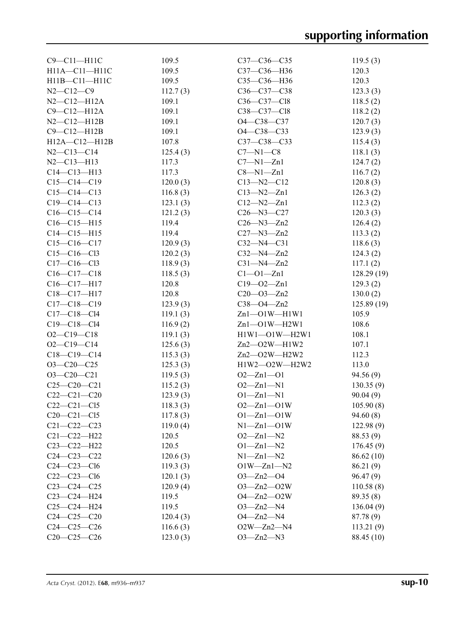| C9-C11-H11C       | 109.5    | $C37 - C36 - C35$      | 119.5(3)    |
|-------------------|----------|------------------------|-------------|
| H11A-C11-H11C     | 109.5    | C37-C36-H36            | 120.3       |
| H11B-C11-H11C     | 109.5    | C35-C36-H36            | 120.3       |
| $N2 - C12 - C9$   | 112.7(3) | $C36 - C37 - C38$      | 123.3(3)    |
| $N2 - C12 - H12A$ | 109.1    | C36-C37-Cl8            | 118.5(2)    |
| $C9 - C12 - H12A$ | 109.1    | C38-C37-Cl8            | 118.2(2)    |
| $N2 - C12 - H12B$ | 109.1    | O4-C38-C37             | 120.7(3)    |
| $C9 - C12 - H12B$ | 109.1    | O4-C38-C33             | 123.9(3)    |
| H12A-C12-H12B     | 107.8    | C37-C38-C33            | 115.4(3)    |
| $N2 - C13 - C14$  | 125.4(3) | $C7 - N1 - C8$         | 118.1(3)    |
| $N2 - C13 - H13$  | 117.3    | $C7 - N1 - Zn1$        | 124.7(2)    |
| $C14 - C13 - H13$ | 117.3    | $C8 - N1 - Zn1$        | 116.7(2)    |
| $C15-C14-C19$     | 120.0(3) | $C13 - N2 - C12$       | 120.8(3)    |
| $C15-C14-C13$     | 116.8(3) | $C13 - N2 - Zn1$       | 126.3(2)    |
| $C19 - C14 - C13$ | 123.1(3) | $C12 - N2 - Zn1$       | 112.3(2)    |
| $C16-C15-C14$     | 121.2(3) | $C26 - N3 - C27$       | 120.3(3)    |
| $C16 - C15 - H15$ | 119.4    | $C26 - N3 - Zn2$       | 126.4(2)    |
| $C14 - C15 - H15$ | 119.4    | $C27 - N3 - Zn2$       | 113.3(2)    |
| $C15-C16-C17$     | 120.9(3) | $C32 - N4 - C31$       | 118.6(3)    |
| $C15 - C16 - C13$ | 120.2(3) | $C32 - N4 - Zn2$       | 124.3(2)    |
| $C17 - C16 - C13$ | 118.9(3) | $C31 - N4 - Zn2$       | 117.1(2)    |
| $C16-C17-C18$     | 118.5(3) | $Cl - O1 - Zn1$        | 128.29 (19) |
| $C16 - C17 - H17$ | 120.8    | $C19 - 02 - Zn1$       | 129.3(2)    |
| C18-C17-H17       | 120.8    | $C20 - 03 - Zn2$       |             |
|                   |          |                        | 130.0(2)    |
| $C17 - C18 - C19$ | 123.9(3) | $C38 - O4 - Zn2$       | 125.89(19)  |
| $C17 - C18 - C14$ | 119.1(3) | $Zn1$ -O1W -H1W1       | 105.9       |
| $C19 - C18 - C14$ | 116.9(2) | $Zn1$ -O1W -H2W1       | 108.6       |
| $O2 - C19 - C18$  | 119.1(3) | $H1W1 - O1W - H2W1$    | 108.1       |
| $O2 - C19 - C14$  | 125.6(3) | $Zn2$ - $O2W$ - $H1W2$ | 107.1       |
| $C18-C19-C14$     | 115.3(3) | $Zn2$ - $O2W$ - $H2W2$ | 112.3       |
| $O3-C20-C25$      | 125.3(3) | H1W2-O2W-H2W2          | 113.0       |
| $O3 - C20 - C21$  | 119.5(3) | $O2 - Zn1 - O1$        | 94.56(9)    |
| $C25-C20-C21$     | 115.2(3) | $O2 - Zn1 - N1$        | 130.35(9)   |
| $C22-C21-C20$     | 123.9(3) | $O1 - Zn1 - N1$        | 90.04(9)    |
| $C22-C21-C15$     | 118.3(3) | $O2 - Zn1 - O1W$       | 105.90(8)   |
| $C20-C21-C15$     | 117.8(3) | $O1 - Zn1 - O1W$       | 94.60(8)    |
| $C21 - C22 - C23$ | 119.0(4) | $N1 - Zn1 - O1W$       | 122.98(9)   |
| $C21 - C22 - H22$ | 120.5    | $O2 - Zn1 - N2$        | 88.53 (9)   |
| $C23-C22-H22$     | 120.5    | $O1 - Zn1 - N2$        | 176.45(9)   |
| $C24 - C23 - C22$ | 120.6(3) | $N1 - Zn1 - N2$        | 86.62 (10)  |
| $C24 - C23 - C16$ | 119.3(3) | $O1W - Zn1 - N2$       | 86.21(9)    |
| $C22-C23-C16$     | 120.1(3) | $O3 - Zn2 - O4$        | 96.47(9)    |
| $C23-C24-C25$     | 120.9(4) | $O3 - Zn2 - O2W$       | 110.58(8)   |
| $C23-C24-H24$     | 119.5    | $O4 - Zn2 - O2W$       | 89.35(8)    |
| $C25-C24-H24$     | 119.5    | $O3 - Zn2 - N4$        | 136.04(9)   |
| $C24 - C25 - C20$ | 120.4(3) | $O4 - Zn2 - N4$        | 87.78 (9)   |
| $C24 - C25 - C26$ | 116.6(3) | $O2W - Zn2 - N4$       | 113.21(9)   |
| $C20-C25-C26$     | 123.0(3) | $O3 - Zn2 - N3$        | 88.45 (10)  |